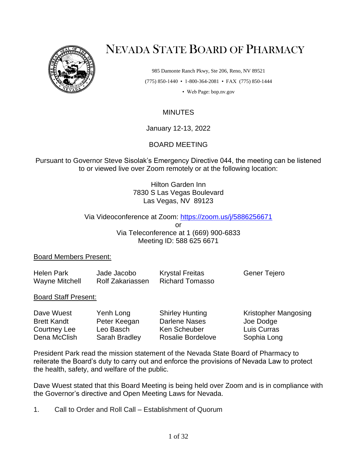

# NEVADA STATE BOARD OF PHARMACY

985 Damonte Ranch Pkwy, Ste 206, Reno, NV 89521 (775) 850-1440 • 1-800-364-2081 • FAX (775) 850-1444

• Web Page: bop.nv.gov

# **MINUTES**

January 12-13, 2022

## BOARD MEETING

Pursuant to Governor Steve Sisolak's Emergency Directive 044, the meeting can be listened to or viewed live over Zoom remotely or at the following location:

> Hilton Garden Inn 7830 S Las Vegas Boulevard Las Vegas, NV 89123

#### Via Videoconference at Zoom:<https://zoom.us/j/5886256671>

or Via Teleconference at 1 (669) 900-6833 Meeting ID: 588 625 6671

#### Board Members Present:

| <b>Helen Park</b> | Jade Jacobo             | <b>Krystal Freitas</b> | Gener Tejero |
|-------------------|-------------------------|------------------------|--------------|
| Wayne Mitchell    | <b>Rolf Zakariassen</b> | Richard Tomasso        |              |

#### Board Staff Present:

| Dave Wuest         | Yenh Long     | <b>Shirley Hunting</b>   | Kristopher Mangosing |
|--------------------|---------------|--------------------------|----------------------|
| <b>Brett Kandt</b> | Peter Keegan  | Darlene Nases            | Joe Dodge            |
| Courtney Lee       | Leo Basch     | Ken Scheuber             | Luis Curras          |
| Dena McClish       | Sarah Bradley | <b>Rosalie Bordelove</b> | Sophia Long          |

President Park read the mission statement of the Nevada State Board of Pharmacy to reiterate the Board's duty to carry out and enforce the provisions of Nevada Law to protect the health, safety, and welfare of the public.

Dave Wuest stated that this Board Meeting is being held over Zoom and is in compliance with the Governor's directive and Open Meeting Laws for Nevada.

1. Call to Order and Roll Call – Establishment of Quorum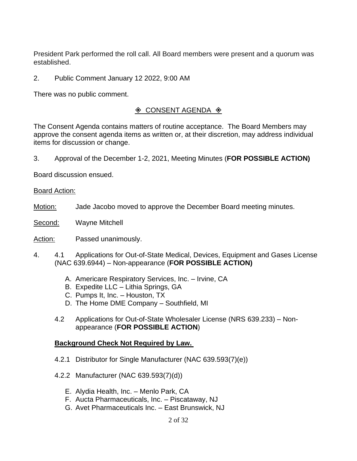President Park performed the roll call. All Board members were present and a quorum was established.

2. Public Comment January 12 2022, 9:00 AM

There was no public comment.

# $\Diamond$  CONSENT AGENDA  $\Diamond$

The Consent Agenda contains matters of routine acceptance. The Board Members may approve the consent agenda items as written or, at their discretion, may address individual items for discussion or change.

3. Approval of the December 1-2, 2021, Meeting Minutes (**FOR POSSIBLE ACTION)**

Board discussion ensued.

#### Board Action:

- Motion: Jade Jacobo moved to approve the December Board meeting minutes.
- Second: Wayne Mitchell

Action: Passed unanimously.

- 4. 4.1 Applications for Out-of-State Medical, Devices, Equipment and Gases License (NAC 639.6944) – Non-appearance (**FOR POSSIBLE ACTION)**
	- A. Americare Respiratory Services, Inc. Irvine, CA
	- B. Expedite LLC Lithia Springs, GA
	- C. Pumps It, Inc. Houston, TX
	- D. The Home DME Company Southfield, MI
	- 4.2 Applications for Out-of-State Wholesaler License (NRS 639.233) Nonappearance (**FOR POSSIBLE ACTION**)

#### **Background Check Not Required by Law.**

- 4.2.1 Distributor for Single Manufacturer (NAC 639.593(7)(e))
- 4.2.2 Manufacturer (NAC 639.593(7)(d))
	- E. Alydia Health, Inc. Menlo Park, CA
	- F. Aucta Pharmaceuticals, Inc. Piscataway, NJ
	- G. Avet Pharmaceuticals Inc. East Brunswick, NJ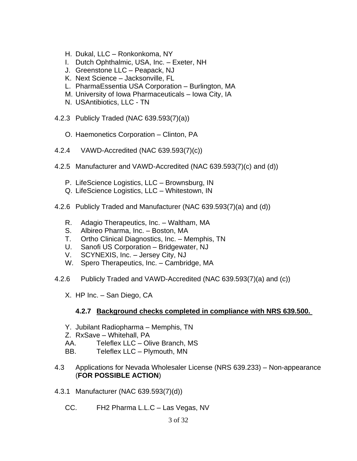- H. Dukal, LLC Ronkonkoma, NY
- I. Dutch Ophthalmic, USA, Inc. Exeter, NH
- J. Greenstone LLC Peapack, NJ
- K. Next Science Jacksonville, FL
- L. PharmaEssentia USA Corporation Burlington, MA
- M. University of Iowa Pharmaceuticals Iowa City, IA
- N. USAntibiotics, LLC TN
- 4.2.3 Publicly Traded (NAC 639.593(7)(a))
	- O. Haemonetics Corporation Clinton, PA
- 4.2.4 VAWD-Accredited (NAC 639.593(7)(c))
- 4.2.5 Manufacturer and VAWD-Accredited (NAC 639.593(7)(c) and (d))
	- P. LifeScience Logistics, LLC Brownsburg, IN
	- Q. LifeScience Logistics, LLC Whitestown, IN
- 4.2.6 Publicly Traded and Manufacturer (NAC 639.593(7)(a) and (d))
	- R. Adagio Therapeutics, Inc. Waltham, MA
	- S. Albireo Pharma, Inc. Boston, MA
	- T. Ortho Clinical Diagnostics, Inc. Memphis, TN
	- U. Sanofi US Corporation Bridgewater, NJ
	- V. SCYNEXIS, Inc. Jersey City, NJ
	- W. Spero Therapeutics, Inc. Cambridge, MA
- 4.2.6 Publicly Traded and VAWD-Accredited (NAC 639.593(7)(a) and (c))
	- X. HP Inc. San Diego, CA

#### **4.2.7 Background checks completed in compliance with NRS 639.500.**

- Y. Jubilant Radiopharma Memphis, TN
- Z. RxSave Whitehall, PA
- AA. Teleflex LLC Olive Branch, MS
- BB. Teleflex LLC Plymouth, MN
- 4.3 Applications for Nevada Wholesaler License (NRS 639.233) Non-appearance (**FOR POSSIBLE ACTION**)
- 4.3.1 Manufacturer (NAC 639.593(7)(d))
	- CC. FH2 Pharma L.L.C Las Vegas, NV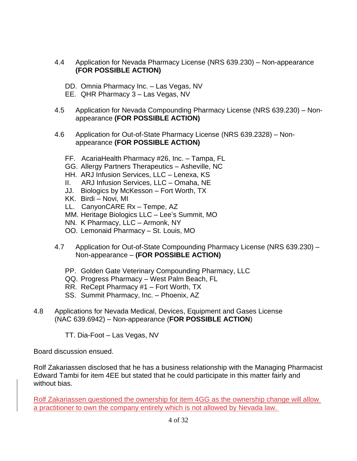- 4.4 Application for Nevada Pharmacy License (NRS 639.230) Non-appearance **(FOR POSSIBLE ACTION)**
	- DD. Omnia Pharmacy Inc. Las Vegas, NV
	- EE. QHR Pharmacy 3 Las Vegas, NV
- 4.5 Application for Nevada Compounding Pharmacy License (NRS 639.230) Nonappearance **(FOR POSSIBLE ACTION)**
- 4.6 Application for Out-of-State Pharmacy License (NRS 639.2328) Nonappearance **(FOR POSSIBLE ACTION)**
	- FF. AcariaHealth Pharmacy #26, Inc. Tampa, FL
	- GG. Allergy Partners Therapeutics Asheville, NC
	- HH. ARJ Infusion Services, LLC Lenexa, KS
	- II. ARJ Infusion Services, LLC Omaha, NE
	- JJ. Biologics by McKesson Fort Worth, TX
	- KK. Birdi Novi, MI
	- LL. CanyonCARE Rx Tempe, AZ
	- MM. Heritage Biologics LLC Lee's Summit, MO
	- NN. K Pharmacy, LLC Armonk, NY
	- OO. Lemonaid Pharmacy St. Louis, MO
- 4.7 Application for Out-of-State Compounding Pharmacy License (NRS 639.230) Non-appearance – **(FOR POSSIBLE ACTION)**
	- PP. Golden Gate Veterinary Compounding Pharmacy, LLC
	- QQ. Progress Pharmacy West Palm Beach, FL
	- RR. ReCept Pharmacy #1 Fort Worth, TX
	- SS. Summit Pharmacy, Inc. Phoenix, AZ
- 4.8 Applications for Nevada Medical, Devices, Equipment and Gases License (NAC 639.6942) – Non-appearance (**FOR POSSIBLE ACTION**)
	- TT. Dia-Foot Las Vegas, NV

Board discussion ensued.

Rolf Zakariassen disclosed that he has a business relationship with the Managing Pharmacist Edward Tambi for item 4EE but stated that he could participate in this matter fairly and without bias.

Rolf Zakariassen questioned the ownership for item 4GG as the ownership change will allow a practitioner to own the company entirely which is not allowed by Nevada law.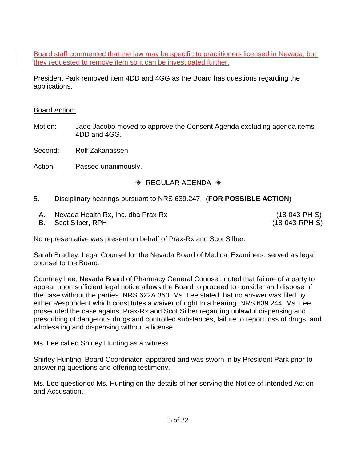Board staff commented that the law may be specific to practitioners licensed in Nevada, but they requested to remove item so it can be investigated further.

President Park removed item 4DD and 4GG as the Board has questions regarding the applications.

## Board Action:

- Motion: Jade Jacobo moved to approve the Consent Agenda excluding agenda items 4DD and 4GG.
- Second: Rolf Zakariassen
- Action: Passed unanimously.

# $\Diamond$  REGULAR AGENDA  $\Diamond$

- 5. Disciplinary hearings pursuant to NRS 639.247. (**FOR POSSIBLE ACTION**)
	- A. Nevada Health Rx, Inc. dba Prax-Rx (18-043-PH-S)
	- B. Scot Silber, RPH (18-043-RPH-S)

No representative was present on behalf of Prax-Rx and Scot Silber.

Sarah Bradley, Legal Counsel for the Nevada Board of Medical Examiners, served as legal counsel to the Board.

Courtney Lee, Nevada Board of Pharmacy General Counsel, noted that failure of a party to appear upon sufficient legal notice allows the Board to proceed to consider and dispose of the case without the parties. NRS 622A.350. Ms. Lee stated that no answer was filed by either Respondent which constitutes a waiver of right to a hearing. NRS 639.244. Ms. Lee prosecuted the case against Prax-Rx and Scot Silber regarding unlawful dispensing and prescribing of dangerous drugs and controlled substances, failure to report loss of drugs, and wholesaling and dispensing without a license.

Ms. Lee called Shirley Hunting as a witness.

Shirley Hunting, Board Coordinator, appeared and was sworn in by President Park prior to answering questions and offering testimony.

Ms. Lee questioned Ms. Hunting on the details of her serving the Notice of Intended Action and Accusation.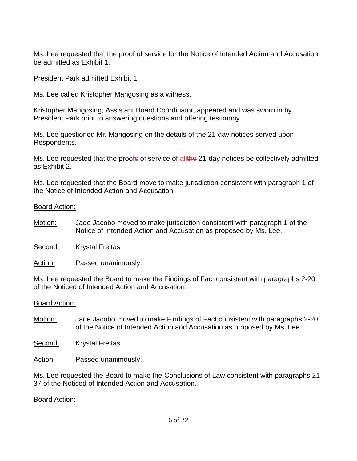Ms. Lee requested that the proof of service for the Notice of Intended Action and Accusation be admitted as Exhibit 1.

President Park admitted Exhibit 1.

Ms. Lee called Kristopher Mangosing as a witness.

Kristopher Mangosing, Assistant Board Coordinator, appeared and was sworn in by President Park prior to answering questions and offering testimony.

Ms. Lee questioned Mr. Mangosing on the details of the 21-day notices served upon Respondents.

Ms. Lee requested that the proofs of service of allthe 21-day notices be collectively admitted as Exhibit 2.

Ms. Lee requested that the Board move to make jurisdiction consistent with paragraph 1 of the Notice of Intended Action and Accusation.

#### Board Action:

- Motion: Jade Jacobo moved to make jurisdiction consistent with paragraph 1 of the Notice of Intended Action and Accusation as proposed by Ms. Lee.
- Second: Krystal Freitas

Action: Passed unanimously.

Ms. Lee requested the Board to make the Findings of Fact consistent with paragraphs 2-20 of the Noticed of Intended Action and Accusation.

#### Board Action:

Motion: Jade Jacobo moved to make Findings of Fact consistent with paragraphs 2-20 of the Notice of Intended Action and Accusation as proposed by Ms. Lee.

Second: Krystal Freitas

Action: Passed unanimously.

Ms. Lee requested the Board to make the Conclusions of Law consistent with paragraphs 21- 37 of the Noticed of Intended Action and Accusation.

#### Board Action: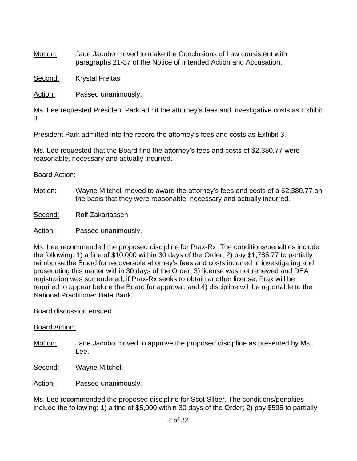Motion: Jade Jacobo moved to make the Conclusions of Law consistent with paragraphs 21-37 of the Notice of Intended Action and Accusation.

Second: Krystal Freitas

Action: Passed unanimously.

Ms. Lee requested President Park admit the attorney's fees and investigative costs as Exhibit 3.

President Park admitted into the record the attorney's fees and costs as Exhibit 3.

Ms. Lee requested that the Board find the attorney's fees and costs of \$2,380.77 were reasonable, necessary and actually incurred.

## Board Action:

Motion: Wayne Mitchell moved to award the attorney's fees and costs of a \$2,380.77 on the basis that they were reasonable, necessary and actually incurred.

Second: Rolf Zakariassen

Action: Passed unanimously.

Ms. Lee recommended the proposed discipline for Prax-Rx. The conditions/penalties include the following: 1) a fine of \$10,000 within 30 days of the Order; 2) pay \$1,785.77 to partially reimburse the Board for recoverable attorney's fees and costs incurred in investigating and prosecuting this matter within 30 days of the Order; 3) license was not renewed and DEA registration was surrendered; if Prax-Rx seeks to obtain another license, Prax will be required to appear before the Board for approval; and 4) discipline will be reportable to the National Practitioner Data Bank.

Board discussion ensued.

#### Board Action:

- Motion: Jade Jacobo moved to approve the proposed discipline as presented by Ms. Lee.
- Second: Wayne Mitchell

Action: Passed unanimously.

Ms. Lee recommended the proposed discipline for Scot Silber. The conditions/penalties include the following: 1) a fine of \$5,000 within 30 days of the Order; 2) pay \$595 to partially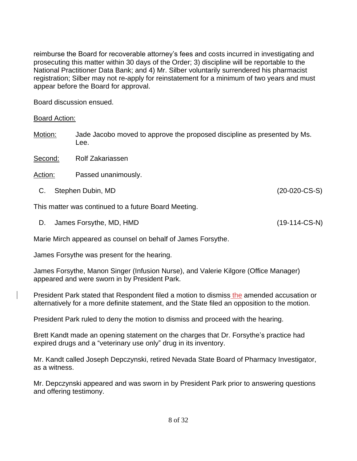reimburse the Board for recoverable attorney's fees and costs incurred in investigating and prosecuting this matter within 30 days of the Order; 3) discipline will be reportable to the National Practitioner Data Bank; and 4) Mr. Silber voluntarily surrendered his pharmacist registration; Silber may not re-apply for reinstatement for a minimum of two years and must appear before the Board for approval.

Board discussion ensued.

Board Action:

Motion: Jade Jacobo moved to approve the proposed discipline as presented by Ms. Lee.

Second: Rolf Zakariassen

Action: Passed unanimously.

C. Stephen Dubin, MD (20-020-CS-S)

This matter was continued to a future Board Meeting.

D. James Forsythe, MD, HMD (19-114-CS-N)

Marie Mirch appeared as counsel on behalf of James Forsythe.

James Forsythe was present for the hearing.

James Forsythe, Manon Singer (Infusion Nurse), and Valerie Kilgore (Office Manager) appeared and were sworn in by President Park.

President Park stated that Respondent filed a motion to dismiss the amended accusation or alternatively for a more definite statement, and the State filed an opposition to the motion.

President Park ruled to deny the motion to dismiss and proceed with the hearing.

Brett Kandt made an opening statement on the charges that Dr. Forsythe's practice had expired drugs and a "veterinary use only" drug in its inventory.

Mr. Kandt called Joseph Depczynski, retired Nevada State Board of Pharmacy Investigator, as a witness.

Mr. Depczynski appeared and was sworn in by President Park prior to answering questions and offering testimony.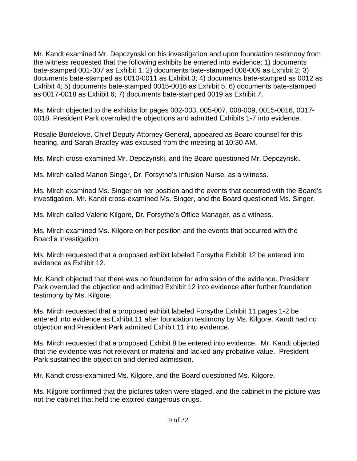Mr. Kandt examined Mr. Depczynski on his investigation and upon foundation testimony from the witness requested that the following exhibits be entered into evidence: 1) documents bate-stamped 001-007 as Exhibit 1; 2) documents bate-stamped 008-009 as Exhibit 2; 3) documents bate-stamped as 0010-0011 as Exhibit 3; 4) documents bate-stamped as 0012 as Exhibit 4; 5) documents bate-stamped 0015-0016 as Exhibit 5; 6) documents bate-stamped as 0017-0018 as Exhibit 6; 7) documents bate-stamped 0019 as Exhibit 7.

Ms. Mirch objected to the exhibits for pages 002-003, 005-007, 008-009, 0015-0016, 0017- 0018. President Park overruled the objections and admitted Exhibits 1-7 into evidence.

Rosalie Bordelove, Chief Deputy Attorney General, appeared as Board counsel for this hearing, and Sarah Bradley was excused from the meeting at 10:30 AM.

Ms. Mirch cross-examined Mr. Depczynski, and the Board questioned Mr. Depczynski.

Ms. Mirch called Manon Singer, Dr. Forsythe's Infusion Nurse, as a witness.

Ms. Mirch examined Ms. Singer on her position and the events that occurred with the Board's investigation. Mr. Kandt cross-examined Ms. Singer, and the Board questioned Ms. Singer.

Ms. Mirch called Valerie Kilgore, Dr. Forsythe's Office Manager, as a witness.

Ms. Mirch examined Ms. Kilgore on her position and the events that occurred with the Board's investigation.

Ms. Mirch requested that a proposed exhibit labeled Forsythe Exhibit 12 be entered into evidence as Exhibit 12.

Mr. Kandt objected that there was no foundation for admission of the evidence. President Park overruled the objection and admitted Exhibit 12 into evidence after further foundation testimony by Ms. Kilgore.

Ms. Mirch requested that a proposed exhibit labeled Forsythe Exhibit 11 pages 1-2 be entered into evidence as Exhibit 11 after foundation testimony by Ms. Kilgore. Kandt had no objection and President Park admitted Exhibit 11 into evidence.

Ms. Mirch requested that a proposed Exhibit 8 be entered into evidence. Mr. Kandt objected that the evidence was not relevant or material and lacked any probative value. President Park sustained the objection and denied admission.

Mr. Kandt cross-examined Ms. Kilgore, and the Board questioned Ms. Kilgore.

Ms. Kilgore confirmed that the pictures taken were staged, and the cabinet in the picture was not the cabinet that held the expired dangerous drugs.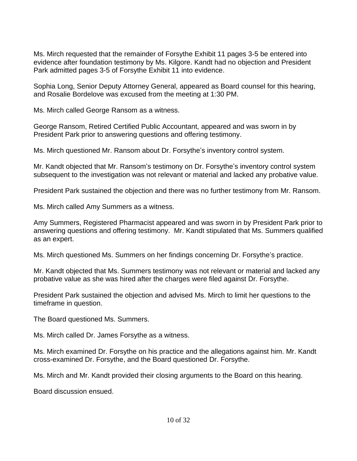Ms. Mirch requested that the remainder of Forsythe Exhibit 11 pages 3-5 be entered into evidence after foundation testimony by Ms. Kilgore. Kandt had no objection and President Park admitted pages 3-5 of Forsythe Exhibit 11 into evidence.

Sophia Long, Senior Deputy Attorney General, appeared as Board counsel for this hearing, and Rosalie Bordelove was excused from the meeting at 1:30 PM.

Ms. Mirch called George Ransom as a witness.

George Ransom, Retired Certified Public Accountant, appeared and was sworn in by President Park prior to answering questions and offering testimony.

Ms. Mirch questioned Mr. Ransom about Dr. Forsythe's inventory control system.

Mr. Kandt objected that Mr. Ransom's testimony on Dr. Forsythe's inventory control system subsequent to the investigation was not relevant or material and lacked any probative value.

President Park sustained the objection and there was no further testimony from Mr. Ransom.

Ms. Mirch called Amy Summers as a witness.

Amy Summers, Registered Pharmacist appeared and was sworn in by President Park prior to answering questions and offering testimony. Mr. Kandt stipulated that Ms. Summers qualified as an expert.

Ms. Mirch questioned Ms. Summers on her findings concerning Dr. Forsythe's practice.

Mr. Kandt objected that Ms. Summers testimony was not relevant or material and lacked any probative value as she was hired after the charges were filed against Dr. Forsythe.

President Park sustained the objection and advised Ms. Mirch to limit her questions to the timeframe in question.

The Board questioned Ms. Summers.

Ms. Mirch called Dr. James Forsythe as a witness.

Ms. Mirch examined Dr. Forsythe on his practice and the allegations against him. Mr. Kandt cross-examined Dr. Forsythe, and the Board questioned Dr. Forsythe.

Ms. Mirch and Mr. Kandt provided their closing arguments to the Board on this hearing.

Board discussion ensued.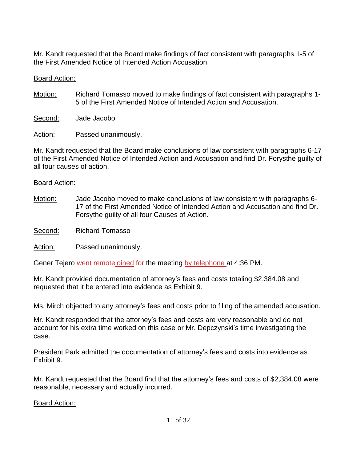Mr. Kandt requested that the Board make findings of fact consistent with paragraphs 1-5 of the First Amended Notice of Intended Action Accusation

## Board Action:

Motion: Richard Tomasso moved to make findings of fact consistent with paragraphs 1-5 of the First Amended Notice of Intended Action and Accusation.

Second: Jade Jacobo

Action: Passed unanimously.

Mr. Kandt requested that the Board make conclusions of law consistent with paragraphs 6-17 of the First Amended Notice of Intended Action and Accusation and find Dr. Forysthe guilty of all four causes of action.

## Board Action:

Motion: Jade Jacobo moved to make conclusions of law consistent with paragraphs 6- 17 of the First Amended Notice of Intended Action and Accusation and find Dr. Forsythe guilty of all four Causes of Action.

Second: Richard Tomasso

Action: Passed unanimously.

Gener Tejero went remotejoined for the meeting by telephone at 4:36 PM.

Mr. Kandt provided documentation of attorney's fees and costs totaling \$2,384.08 and requested that it be entered into evidence as Exhibit 9.

Ms. Mirch objected to any attorney's fees and costs prior to filing of the amended accusation.

Mr. Kandt responded that the attorney's fees and costs are very reasonable and do not account for his extra time worked on this case or Mr. Depczynski's time investigating the case.

President Park admitted the documentation of attorney's fees and costs into evidence as Exhibit 9.

Mr. Kandt requested that the Board find that the attorney's fees and costs of \$2,384.08 were reasonable, necessary and actually incurred.

Board Action: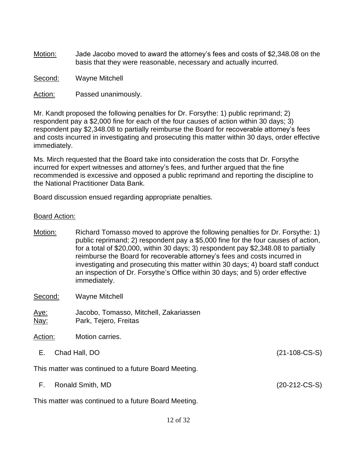- Motion: Jade Jacobo moved to award the attorney's fees and costs of \$2,348.08 on the basis that they were reasonable, necessary and actually incurred.
- Second: Wayne Mitchell
- Action: Passed unanimously.

Mr. Kandt proposed the following penalties for Dr. Forsythe: 1) public reprimand; 2) respondent pay a \$2,000 fine for each of the four causes of action within 30 days; 3) respondent pay \$2,348.08 to partially reimburse the Board for recoverable attorney's fees and costs incurred in investigating and prosecuting this matter within 30 days, order effective immediately.

Ms. Mirch requested that the Board take into consideration the costs that Dr. Forsythe incurred for expert witnesses and attorney's fees, and further argued that the fine recommended is excessive and opposed a public reprimand and reporting the discipline to the National Practitioner Data Bank.

Board discussion ensued regarding appropriate penalties.

#### Board Action:

Motion: Richard Tomasso moved to approve the following penalties for Dr. Forsythe: 1) public reprimand; 2) respondent pay a \$5,000 fine for the four causes of action, for a total of \$20,000, within 30 days; 3) respondent pay \$2,348.08 to partially reimburse the Board for recoverable attorney's fees and costs incurred in investigating and prosecuting this matter within 30 days; 4) board staff conduct an inspection of Dr. Forsythe's Office within 30 days; and 5) order effective immediately. Second: Wayne Mitchell

Aye: Jacobo, Tomasso, Mitchell, Zakariassen Nay: Park, Tejero, Freitas

- Action: Motion carries.
	- E. Chad Hall, DO (21-108-CS-S)

This matter was continued to a future Board Meeting.

F. Ronald Smith, MD (20-212-CS-S)

This matter was continued to a future Board Meeting.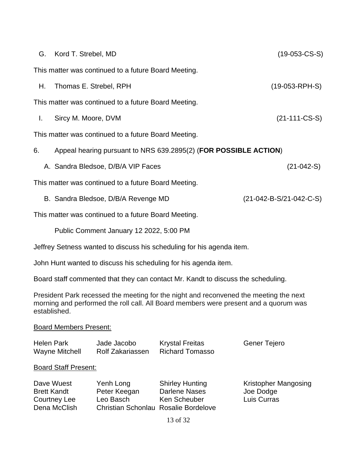|    | G. Kord T. Strebel, MD                                           | $(19-053-CS-S)$           |
|----|------------------------------------------------------------------|---------------------------|
|    | This matter was continued to a future Board Meeting.             |                           |
| Н. | Thomas E. Strebel, RPH                                           | $(19-053-RPH-S)$          |
|    | This matter was continued to a future Board Meeting.             |                           |
| L. | Sircy M. Moore, DVM                                              | $(21-111-CS-S)$           |
|    | This matter was continued to a future Board Meeting.             |                           |
| 6. | Appeal hearing pursuant to NRS 639.2895(2) (FOR POSSIBLE ACTION) |                           |
|    | A. Sandra Bledsoe, D/B/A VIP Faces                               | $(21-042-S)$              |
|    | This matter was continued to a future Board Meeting.             |                           |
|    | B. Sandra Bledsoe, D/B/A Revenge MD                              | $(21-042-B-S/21-042-C-S)$ |
|    | This matter was continued to a future Board Meeting.             |                           |

Public Comment January 12 2022, 5:00 PM

Jeffrey Setness wanted to discuss his scheduling for his agenda item.

John Hunt wanted to discuss his scheduling for his agenda item.

Board staff commented that they can contact Mr. Kandt to discuss the scheduling.

President Park recessed the meeting for the night and reconvened the meeting the next morning and performed the roll call. All Board members were present and a quorum was established.

#### Board Members Present:

| <b>Helen Park</b>     | Jade Jacobo      | <b>Krystal Freitas</b> | Gener Tejero |
|-----------------------|------------------|------------------------|--------------|
| <b>Wayne Mitchell</b> | Rolf Zakariassen | Richard Tomasso        |              |

## Board Staff Present:

| Dave Wuest         | Yenh Long                            | <b>Shirley Hunting</b> | <b>Kristopher Mangosing</b> |
|--------------------|--------------------------------------|------------------------|-----------------------------|
| <b>Brett Kandt</b> | Peter Keegan                         | Darlene Nases          | Joe Dodge                   |
| Courtney Lee       | Leo Basch                            | Ken Scheuber           | Luis Curras                 |
| Dena McClish       | Christian Schonlau Rosalie Bordelove |                        |                             |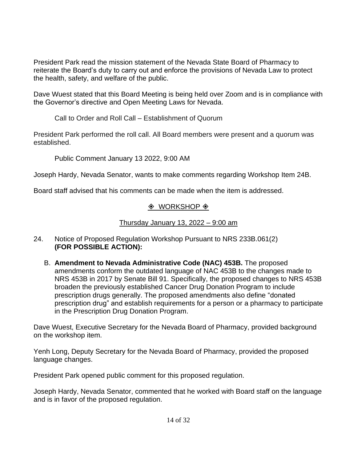President Park read the mission statement of the Nevada State Board of Pharmacy to reiterate the Board's duty to carry out and enforce the provisions of Nevada Law to protect the health, safety, and welfare of the public.

Dave Wuest stated that this Board Meeting is being held over Zoom and is in compliance with the Governor's directive and Open Meeting Laws for Nevada.

Call to Order and Roll Call – Establishment of Quorum

President Park performed the roll call. All Board members were present and a quorum was established.

Public Comment January 13 2022, 9:00 AM

Joseph Hardy, Nevada Senator, wants to make comments regarding Workshop Item 24B.

Board staff advised that his comments can be made when the item is addressed.

# $\Diamond$  WORKSHOP  $\Diamond$

Thursday January 13, 2022 – 9:00 am

- 24. Notice of Proposed Regulation Workshop Pursuant to NRS 233B.061(2) **(FOR POSSIBLE ACTION):**
	- B. **Amendment to Nevada Administrative Code (NAC) 453B.** The proposed amendments conform the outdated language of NAC 453B to the changes made to NRS 453B in 2017 by Senate Bill 91. Specifically, the proposed changes to NRS 453B broaden the previously established Cancer Drug Donation Program to include prescription drugs generally. The proposed amendments also define "donated prescription drug" and establish requirements for a person or a pharmacy to participate in the Prescription Drug Donation Program.

Dave Wuest, Executive Secretary for the Nevada Board of Pharmacy, provided background on the workshop item.

Yenh Long, Deputy Secretary for the Nevada Board of Pharmacy, provided the proposed language changes.

President Park opened public comment for this proposed regulation.

Joseph Hardy, Nevada Senator, commented that he worked with Board staff on the language and is in favor of the proposed regulation.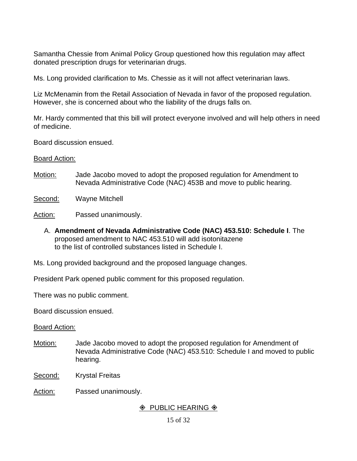Samantha Chessie from Animal Policy Group questioned how this regulation may affect donated prescription drugs for veterinarian drugs.

Ms. Long provided clarification to Ms. Chessie as it will not affect veterinarian laws.

Liz McMenamin from the Retail Association of Nevada in favor of the proposed regulation. However, she is concerned about who the liability of the drugs falls on.

Mr. Hardy commented that this bill will protect everyone involved and will help others in need of medicine.

Board discussion ensued.

#### Board Action:

- Motion: Jade Jacobo moved to adopt the proposed regulation for Amendment to Nevada Administrative Code (NAC) 453B and move to public hearing.
- Second: Wayne Mitchell
- Action: Passed unanimously.
	- A. **Amendment of Nevada Administrative Code (NAC) 453.510: Schedule I**. The proposed amendment to NAC 453.510 will add isotonitazene to the list of controlled substances listed in Schedule I.

Ms. Long provided background and the proposed language changes.

President Park opened public comment for this proposed regulation.

There was no public comment.

Board discussion ensued.

#### Board Action:

- Motion: Jade Jacobo moved to adopt the proposed regulation for Amendment of Nevada Administrative Code (NAC) 453.510: Schedule I and moved to public hearing.
- Second: Krystal Freitas
- Action: Passed unanimously.

# $\Diamond$  PUBLIC HEARING  $\Diamond$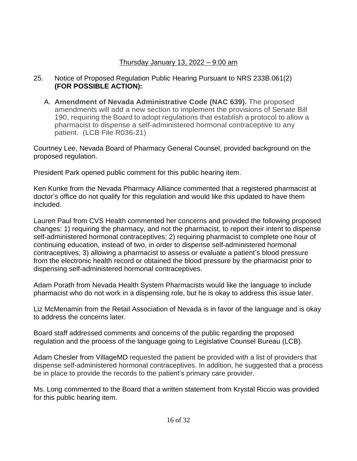# Thursday January 13, 2022 – 9:00 am

- 25. Notice of Proposed Regulation Public Hearing Pursuant to NRS 233B.061(2) **(FOR POSSIBLE ACTION):**
	- A. **Amendment of Nevada Administrative Code (NAC 639).** The proposed amendments will add a new section to implement the provisions of Senate Bill 190, requiring the Board to adopt regulations that establish a protocol to allow a pharmacist to dispense a self-administered hormonal contraceptive to any patient. (LCB File R036-21)

Courtney Lee, Nevada Board of Pharmacy General Counsel, provided background on the proposed regulation.

President Park opened public comment for this public hearing item.

Ken Kunke from the Nevada Pharmacy Alliance commented that a registered pharmacist at doctor's office do not qualify for this regulation and would like this updated to have them included.

Lauren Paul from CVS Health commented her concerns and provided the following proposed changes: 1) requiring the pharmacy, and not the pharmacist, to report their intent to dispense self-administered hormonal contraceptives; 2) requiring pharmacist to complete one hour of continuing education, instead of two, in order to dispense self-administered hormonal contraceptives; 3) allowing a pharmacist to assess or evaluate a patient's blood pressure from the electronic health record or obtained the blood pressure by the pharmacist prior to dispensing self-administered hormonal contraceptives.

Adam Porath from Nevada Health System Pharmacists would like the language to include pharmacist who do not work in a dispensing role, but he is okay to address this issue later.

Liz McMenamin from the Retail Association of Nevada is in favor of the language and is okay to address the concerns later.

Board staff addressed comments and concerns of the public regarding the proposed regulation and the process of the language going to Legislative Counsel Bureau (LCB).

Adam Chesler from VillageMD requested the patient be provided with a list of providers that dispense self-administered hormonal contraceptives. In addition, he suggested that a process be in place to provide the records to the patient's primary care provider.

Ms. Long commented to the Board that a written statement from Krystal Riccio was provided for this public hearing item.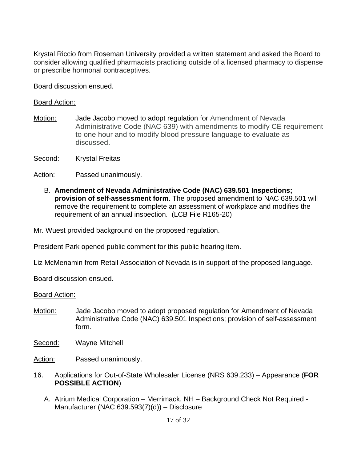Krystal Riccio from Roseman University provided a written statement and asked the Board to consider allowing qualified pharmacists practicing outside of a licensed pharmacy to dispense or prescribe hormonal contraceptives.

Board discussion ensued.

#### Board Action:

- Motion: Jade Jacobo moved to adopt regulation for Amendment of Nevada Administrative Code (NAC 639) with amendments to modify CE requirement to one hour and to modify blood pressure language to evaluate as discussed.
- Second: Krystal Freitas
- Action: Passed unanimously.
	- B. **Amendment of Nevada Administrative Code (NAC) 639.501 Inspections; provision of self-assessment form**. The proposed amendment to NAC 639.501 will remove the requirement to complete an assessment of workplace and modifies the requirement of an annual inspection. (LCB File R165-20)

Mr. Wuest provided background on the proposed regulation.

President Park opened public comment for this public hearing item.

Liz McMenamin from Retail Association of Nevada is in support of the proposed language.

Board discussion ensued.

#### Board Action:

- Motion: Jade Jacobo moved to adopt proposed regulation for Amendment of Nevada Administrative Code (NAC) 639.501 Inspections; provision of self-assessment form.
- Second: Wayne Mitchell

Action: Passed unanimously.

- 16. Applications for Out-of-State Wholesaler License (NRS 639.233) Appearance (**FOR POSSIBLE ACTION**)
	- A. Atrium Medical Corporation Merrimack, NH Background Check Not Required Manufacturer (NAC 639.593(7)(d)) – Disclosure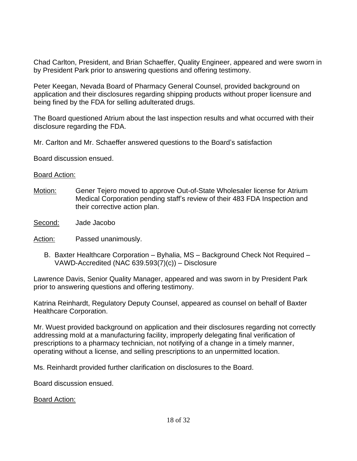Chad Carlton, President, and Brian Schaeffer, Quality Engineer, appeared and were sworn in by President Park prior to answering questions and offering testimony.

Peter Keegan, Nevada Board of Pharmacy General Counsel, provided background on application and their disclosures regarding shipping products without proper licensure and being fined by the FDA for selling adulterated drugs.

The Board questioned Atrium about the last inspection results and what occurred with their disclosure regarding the FDA.

Mr. Carlton and Mr. Schaeffer answered questions to the Board's satisfaction

Board discussion ensued.

#### Board Action:

- Motion: Gener Tejero moved to approve Out-of-State Wholesaler license for Atrium Medical Corporation pending staff's review of their 483 FDA Inspection and their corrective action plan.
- Second: Jade Jacobo

Action: Passed unanimously.

B. Baxter Healthcare Corporation – Byhalia, MS – Background Check Not Required – VAWD-Accredited (NAC 639.593(7)(c)) – Disclosure

Lawrence Davis, Senior Quality Manager, appeared and was sworn in by President Park prior to answering questions and offering testimony.

Katrina Reinhardt, Regulatory Deputy Counsel, appeared as counsel on behalf of Baxter Healthcare Corporation.

Mr. Wuest provided background on application and their disclosures regarding not correctly addressing mold at a manufacturing facility, improperly delegating final verification of prescriptions to a pharmacy technician, not notifying of a change in a timely manner, operating without a license, and selling prescriptions to an unpermitted location.

Ms. Reinhardt provided further clarification on disclosures to the Board.

Board discussion ensued.

Board Action: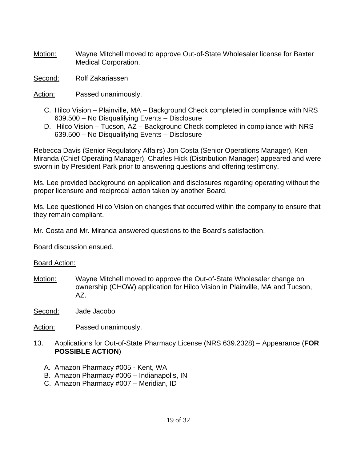Motion: Wayne Mitchell moved to approve Out-of-State Wholesaler license for Baxter Medical Corporation.

Second: Rolf Zakariassen

Action: Passed unanimously.

- C. Hilco Vision Plainville, MA Background Check completed in compliance with NRS 639.500 – No Disqualifying Events – Disclosure
- D. Hilco Vision Tucson, AZ Background Check completed in compliance with NRS 639.500 – No Disqualifying Events – Disclosure

Rebecca Davis (Senior Regulatory Affairs) Jon Costa (Senior Operations Manager), Ken Miranda (Chief Operating Manager), Charles Hick (Distribution Manager) appeared and were sworn in by President Park prior to answering questions and offering testimony.

Ms. Lee provided background on application and disclosures regarding operating without the proper licensure and reciprocal action taken by another Board.

Ms. Lee questioned Hilco Vision on changes that occurred within the company to ensure that they remain compliant.

Mr. Costa and Mr. Miranda answered questions to the Board's satisfaction.

Board discussion ensued.

Board Action:

Motion: Wayne Mitchell moved to approve the Out-of-State Wholesaler change on ownership (CHOW) application for Hilco Vision in Plainville, MA and Tucson, AZ.

Second: Jade Jacobo

Action: Passed unanimously.

- 13. Applications for Out-of-State Pharmacy License (NRS 639.2328) Appearance (**FOR POSSIBLE ACTION**)
	- A. Amazon Pharmacy #005 Kent, WA
	- B. Amazon Pharmacy #006 Indianapolis, IN
	- C. Amazon Pharmacy #007 Meridian, ID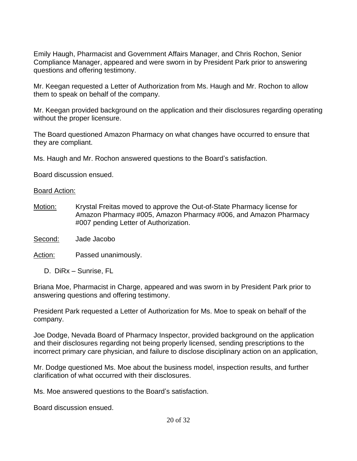Emily Haugh, Pharmacist and Government Affairs Manager, and Chris Rochon, Senior Compliance Manager, appeared and were sworn in by President Park prior to answering questions and offering testimony.

Mr. Keegan requested a Letter of Authorization from Ms. Haugh and Mr. Rochon to allow them to speak on behalf of the company.

Mr. Keegan provided background on the application and their disclosures regarding operating without the proper licensure.

The Board questioned Amazon Pharmacy on what changes have occurred to ensure that they are compliant.

Ms. Haugh and Mr. Rochon answered questions to the Board's satisfaction.

Board discussion ensued.

#### Board Action:

Motion: Krystal Freitas moved to approve the Out-of-State Pharmacy license for Amazon Pharmacy #005, Amazon Pharmacy #006, and Amazon Pharmacy #007 pending Letter of Authorization.

Second: Jade Jacobo

Action: Passed unanimously.

D. DiRx – Sunrise, FL

Briana Moe, Pharmacist in Charge, appeared and was sworn in by President Park prior to answering questions and offering testimony.

President Park requested a Letter of Authorization for Ms. Moe to speak on behalf of the company.

Joe Dodge, Nevada Board of Pharmacy Inspector, provided background on the application and their disclosures regarding not being properly licensed, sending prescriptions to the incorrect primary care physician, and failure to disclose disciplinary action on an application,

Mr. Dodge questioned Ms. Moe about the business model, inspection results, and further clarification of what occurred with their disclosures.

Ms. Moe answered questions to the Board's satisfaction.

Board discussion ensued.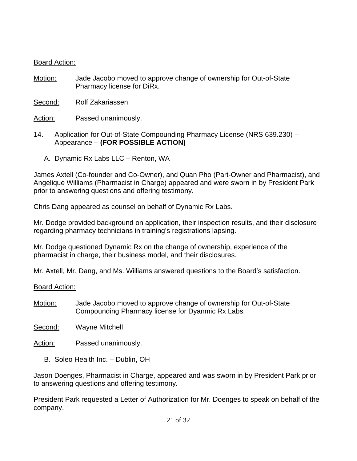## Board Action:

- Motion: Jade Jacobo moved to approve change of ownership for Out-of-State Pharmacy license for DiRx.
- Second: Rolf Zakariassen
- Action: Passed unanimously.
- 14. Application for Out-of-State Compounding Pharmacy License (NRS 639.230) Appearance – **(FOR POSSIBLE ACTION)**
	- A. Dynamic Rx Labs LLC Renton, WA

James Axtell (Co-founder and Co-Owner), and Quan Pho (Part-Owner and Pharmacist), and Angelique Williams (Pharmacist in Charge) appeared and were sworn in by President Park prior to answering questions and offering testimony.

Chris Dang appeared as counsel on behalf of Dynamic Rx Labs.

Mr. Dodge provided background on application, their inspection results, and their disclosure regarding pharmacy technicians in training's registrations lapsing.

Mr. Dodge questioned Dynamic Rx on the change of ownership, experience of the pharmacist in charge, their business model, and their disclosures.

Mr. Axtell, Mr. Dang, and Ms. Williams answered questions to the Board's satisfaction.

Board Action:

- Motion: Jade Jacobo moved to approve change of ownership for Out-of-State Compounding Pharmacy license for Dyanmic Rx Labs.
- Second: Wayne Mitchell
- Action: Passed unanimously.
	- B. Soleo Health Inc. Dublin, OH

Jason Doenges, Pharmacist in Charge, appeared and was sworn in by President Park prior to answering questions and offering testimony.

President Park requested a Letter of Authorization for Mr. Doenges to speak on behalf of the company.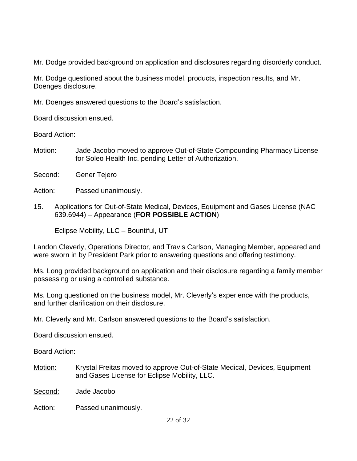Mr. Dodge provided background on application and disclosures regarding disorderly conduct.

Mr. Dodge questioned about the business model, products, inspection results, and Mr. Doenges disclosure.

Mr. Doenges answered questions to the Board's satisfaction.

Board discussion ensued.

Board Action:

- Motion: Jade Jacobo moved to approve Out-of-State Compounding Pharmacy License for Soleo Health Inc. pending Letter of Authorization.
- Second: Gener Tejero

Action: Passed unanimously.

15. Applications for Out-of-State Medical, Devices, Equipment and Gases License (NAC 639.6944) – Appearance (**FOR POSSIBLE ACTION**)

Eclipse Mobility, LLC – Bountiful, UT

Landon Cleverly, Operations Director, and Travis Carlson, Managing Member, appeared and were sworn in by President Park prior to answering questions and offering testimony.

Ms. Long provided background on application and their disclosure regarding a family member possessing or using a controlled substance.

Ms. Long questioned on the business model, Mr. Cleverly's experience with the products, and further clarification on their disclosure.

Mr. Cleverly and Mr. Carlson answered questions to the Board's satisfaction.

Board discussion ensued.

Board Action:

Motion: Krystal Freitas moved to approve Out-of-State Medical, Devices, Equipment and Gases License for Eclipse Mobility, LLC.

Second: Jade Jacobo

Action: Passed unanimously.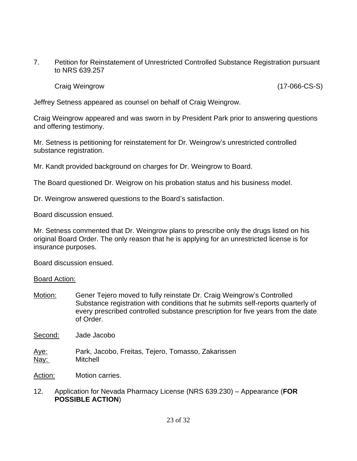7. Petition for Reinstatement of Unrestricted Controlled Substance Registration pursuant to NRS 639.257

Craig Weingrow (17-066-CS-S)

Jeffrey Setness appeared as counsel on behalf of Craig Weingrow.

Craig Weingrow appeared and was sworn in by President Park prior to answering questions and offering testimony.

Mr. Setness is petitioning for reinstatement for Dr. Weingrow's unrestricted controlled substance registration.

Mr. Kandt provided background on charges for Dr. Weingrow to Board.

The Board questioned Dr. Weigrow on his probation status and his business model.

Dr. Weingrow answered questions to the Board's satisfaction.

Board discussion ensued.

Mr. Setness commented that Dr. Weingrow plans to prescribe only the drugs listed on his original Board Order. The only reason that he is applying for an unrestricted license is for insurance purposes.

Board discussion ensued.

#### Board Action:

Motion: Gener Tejero moved to fully reinstate Dr. Craig Weingrow's Controlled Substance registration with conditions that he submits self-reports quarterly of every prescribed controlled substance prescription for five years from the date of Order.

Second: Jade Jacobo

Aye: Park, Jacobo, Freitas, Tejero, Tomasso, Zakarissen Nay: Mitchell

Action: Motion carries.

#### 12. Application for Nevada Pharmacy License (NRS 639.230) – Appearance (**FOR POSSIBLE ACTION**)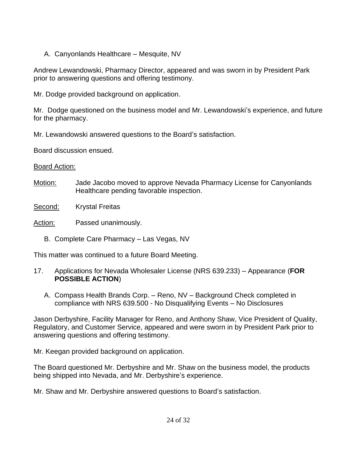A. Canyonlands Healthcare – Mesquite, NV

Andrew Lewandowski, Pharmacy Director, appeared and was sworn in by President Park prior to answering questions and offering testimony.

Mr. Dodge provided background on application.

Mr. Dodge questioned on the business model and Mr. Lewandowski's experience, and future for the pharmacy.

Mr. Lewandowski answered questions to the Board's satisfaction.

Board discussion ensued.

# Board Action:

- Motion: Jade Jacobo moved to approve Nevada Pharmacy License for Canyonlands Healthcare pending favorable inspection.
- Second: Krystal Freitas

Action: Passed unanimously.

B. Complete Care Pharmacy – Las Vegas, NV

This matter was continued to a future Board Meeting.

- 17. Applications for Nevada Wholesaler License (NRS 639.233) Appearance (**FOR POSSIBLE ACTION**)
	- A. Compass Health Brands Corp. Reno, NV Background Check completed in compliance with NRS 639.500 - No Disqualifying Events – No Disclosures

Jason Derbyshire, Facility Manager for Reno, and Anthony Shaw, Vice President of Quality, Regulatory, and Customer Service, appeared and were sworn in by President Park prior to answering questions and offering testimony.

Mr. Keegan provided background on application.

The Board questioned Mr. Derbyshire and Mr. Shaw on the business model, the products being shipped into Nevada, and Mr. Derbyshire's experience.

Mr. Shaw and Mr. Derbyshire answered questions to Board's satisfaction.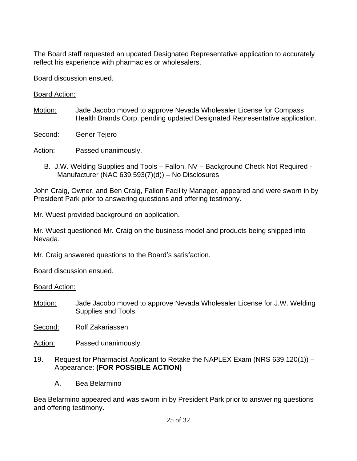The Board staff requested an updated Designated Representative application to accurately reflect his experience with pharmacies or wholesalers.

Board discussion ensued.

Board Action:

- Motion: Jade Jacobo moved to approve Nevada Wholesaler License for Compass Health Brands Corp. pending updated Designated Representative application.
- Second: Gener Tejero

Action: Passed unanimously.

B. J.W. Welding Supplies and Tools – Fallon, NV – Background Check Not Required - Manufacturer (NAC 639.593(7)(d)) – No Disclosures

John Craig, Owner, and Ben Craig, Fallon Facility Manager, appeared and were sworn in by President Park prior to answering questions and offering testimony.

Mr. Wuest provided background on application.

Mr. Wuest questioned Mr. Craig on the business model and products being shipped into Nevada.

Mr. Craig answered questions to the Board's satisfaction.

Board discussion ensued.

Board Action:

- Motion: Jade Jacobo moved to approve Nevada Wholesaler License for J.W. Welding Supplies and Tools.
- Second: Rolf Zakariassen
- Action: Passed unanimously.
- 19. Request for Pharmacist Applicant to Retake the NAPLEX Exam (NRS 639.120(1)) Appearance: **(FOR POSSIBLE ACTION)**
	- A. Bea Belarmino

Bea Belarmino appeared and was sworn in by President Park prior to answering questions and offering testimony.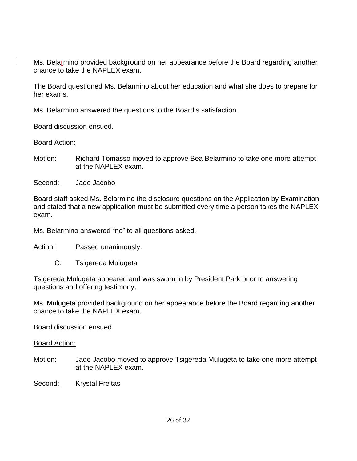Ms. Belarmino provided background on her appearance before the Board regarding another chance to take the NAPLEX exam.

The Board questioned Ms. Belarmino about her education and what she does to prepare for her exams.

Ms. Belarmino answered the questions to the Board's satisfaction.

Board discussion ensued.

Board Action:

- Motion: Richard Tomasso moved to approve Bea Belarmino to take one more attempt at the NAPLEX exam.
- Second: Jade Jacobo

Board staff asked Ms. Belarmino the disclosure questions on the Application by Examination and stated that a new application must be submitted every time a person takes the NAPLEX exam.

Ms. Belarmino answered "no" to all questions asked.

Action: Passed unanimously.

C. Tsigereda Mulugeta

Tsigereda Mulugeta appeared and was sworn in by President Park prior to answering questions and offering testimony.

Ms. Mulugeta provided background on her appearance before the Board regarding another chance to take the NAPLEX exam.

Board discussion ensued.

Board Action:

Motion: Jade Jacobo moved to approve Tsigereda Mulugeta to take one more attempt at the NAPLEX exam.

Second: Krystal Freitas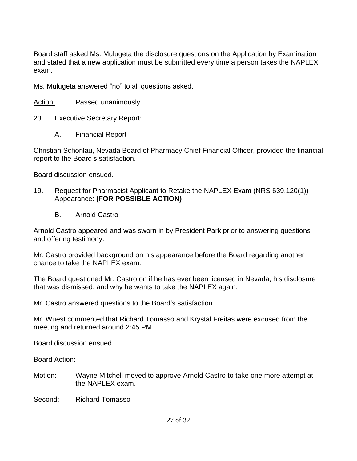Board staff asked Ms. Mulugeta the disclosure questions on the Application by Examination and stated that a new application must be submitted every time a person takes the NAPLEX exam.

Ms. Mulugeta answered "no" to all questions asked.

Action: Passed unanimously.

- 23. Executive Secretary Report:
	- A. Financial Report

Christian Schonlau, Nevada Board of Pharmacy Chief Financial Officer, provided the financial report to the Board's satisfaction.

Board discussion ensued.

- 19. Request for Pharmacist Applicant to Retake the NAPLEX Exam (NRS 639.120(1)) Appearance: **(FOR POSSIBLE ACTION)**
	- B. Arnold Castro

Arnold Castro appeared and was sworn in by President Park prior to answering questions and offering testimony.

Mr. Castro provided background on his appearance before the Board regarding another chance to take the NAPLEX exam.

The Board questioned Mr. Castro on if he has ever been licensed in Nevada, his disclosure that was dismissed, and why he wants to take the NAPLEX again.

Mr. Castro answered questions to the Board's satisfaction.

Mr. Wuest commented that Richard Tomasso and Krystal Freitas were excused from the meeting and returned around 2:45 PM.

Board discussion ensued.

Board Action:

- Motion: Wayne Mitchell moved to approve Arnold Castro to take one more attempt at the NAPLEX exam.
- Second: Richard Tomasso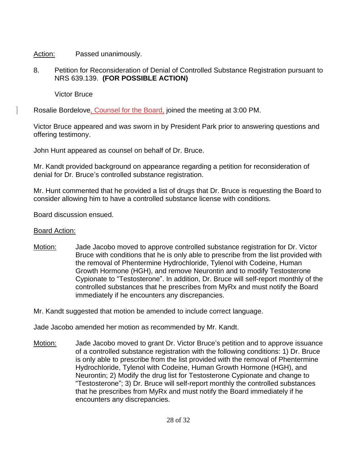Action: Passed unanimously.

8. Petition for Reconsideration of Denial of Controlled Substance Registration pursuant to NRS 639.139. **(FOR POSSIBLE ACTION)**

Victor Bruce

Rosalie Bordelove, Counsel for the Board, joined the meeting at 3:00 PM.

Victor Bruce appeared and was sworn in by President Park prior to answering questions and offering testimony.

John Hunt appeared as counsel on behalf of Dr. Bruce.

Mr. Kandt provided background on appearance regarding a petition for reconsideration of denial for Dr. Bruce's controlled substance registration.

Mr. Hunt commented that he provided a list of drugs that Dr. Bruce is requesting the Board to consider allowing him to have a controlled substance license with conditions.

Board discussion ensued.

# Board Action:

Motion: Jade Jacobo moved to approve controlled substance registration for Dr. Victor Bruce with conditions that he is only able to prescribe from the list provided with the removal of Phentermine Hydrochloride, Tylenol with Codeine, Human Growth Hormone (HGH), and remove Neurontin and to modify Testosterone Cypionate to "Testosterone". In addition, Dr. Bruce will self-report monthly of the controlled substances that he prescribes from MyRx and must notify the Board immediately if he encounters any discrepancies.

Mr. Kandt suggested that motion be amended to include correct language.

Jade Jacobo amended her motion as recommended by Mr. Kandt.

Motion: Jade Jacobo moved to grant Dr. Victor Bruce's petition and to approve issuance of a controlled substance registration with the following conditions: 1) Dr. Bruce is only able to prescribe from the list provided with the removal of Phentermine Hydrochloride, Tylenol with Codeine, Human Growth Hormone (HGH), and Neurontin; 2) Modify the drug list for Testosterone Cypionate and change to "Testosterone"; 3) Dr. Bruce will self-report monthly the controlled substances that he prescribes from MyRx and must notify the Board immediately if he encounters any discrepancies.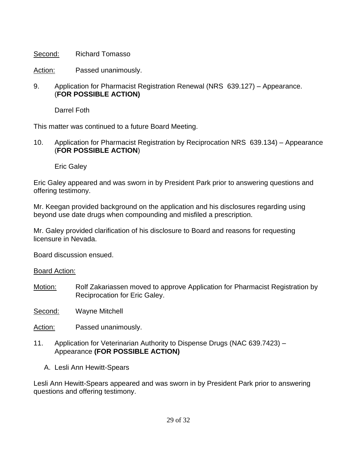Second: Richard Tomasso

Action: Passed unanimously.

## 9. Application for Pharmacist Registration Renewal (NRS 639.127) – Appearance. (**FOR POSSIBLE ACTION)**

Darrel Foth

This matter was continued to a future Board Meeting.

10. Application for Pharmacist Registration by Reciprocation NRS 639.134) – Appearance (**FOR POSSIBLE ACTION**)

Eric Galey

Eric Galey appeared and was sworn in by President Park prior to answering questions and offering testimony.

Mr. Keegan provided background on the application and his disclosures regarding using beyond use date drugs when compounding and misfiled a prescription.

Mr. Galey provided clarification of his disclosure to Board and reasons for requesting licensure in Nevada.

Board discussion ensued.

Board Action:

Motion: Rolf Zakariassen moved to approve Application for Pharmacist Registration by Reciprocation for Eric Galey.

Second: Wayne Mitchell

Action: Passed unanimously.

- 11. Application for Veterinarian Authority to Dispense Drugs (NAC 639.7423) Appearance **(FOR POSSIBLE ACTION)**
	- A. Lesli Ann Hewitt-Spears

Lesli Ann Hewitt-Spears appeared and was sworn in by President Park prior to answering questions and offering testimony.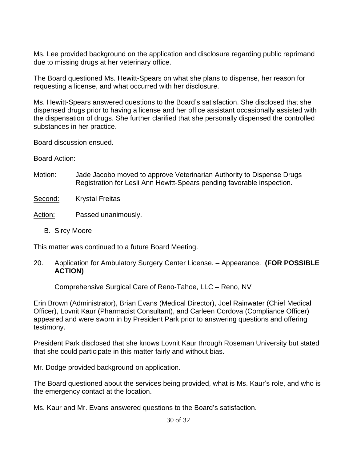Ms. Lee provided background on the application and disclosure regarding public reprimand due to missing drugs at her veterinary office.

The Board questioned Ms. Hewitt-Spears on what she plans to dispense, her reason for requesting a license, and what occurred with her disclosure.

Ms. Hewitt-Spears answered questions to the Board's satisfaction. She disclosed that she dispensed drugs prior to having a license and her office assistant occasionally assisted with the dispensation of drugs. She further clarified that she personally dispensed the controlled substances in her practice.

Board discussion ensued.

## Board Action:

Motion: Jade Jacobo moved to approve Veterinarian Authority to Dispense Drugs Registration for Lesli Ann Hewitt-Spears pending favorable inspection.

## Second: Krystal Freitas

# Action: Passed unanimously.

B. Sircy Moore

This matter was continued to a future Board Meeting.

20. Application for Ambulatory Surgery Center License. – Appearance. **(FOR POSSIBLE ACTION)**

Comprehensive Surgical Care of Reno-Tahoe, LLC – Reno, NV

Erin Brown (Administrator), Brian Evans (Medical Director), Joel Rainwater (Chief Medical Officer), Lovnit Kaur (Pharmacist Consultant), and Carleen Cordova (Compliance Officer) appeared and were sworn in by President Park prior to answering questions and offering testimony.

President Park disclosed that she knows Lovnit Kaur through Roseman University but stated that she could participate in this matter fairly and without bias.

Mr. Dodge provided background on application.

The Board questioned about the services being provided, what is Ms. Kaur's role, and who is the emergency contact at the location.

Ms. Kaur and Mr. Evans answered questions to the Board's satisfaction.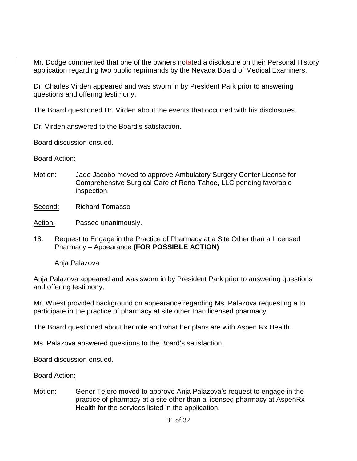Mr. Dodge commented that one of the owners notated a disclosure on their Personal History application regarding two public reprimands by the Nevada Board of Medical Examiners.

Dr. Charles Virden appeared and was sworn in by President Park prior to answering questions and offering testimony.

The Board questioned Dr. Virden about the events that occurred with his disclosures.

Dr. Virden answered to the Board's satisfaction.

Board discussion ensued.

#### Board Action:

- Motion: Jade Jacobo moved to approve Ambulatory Surgery Center License for Comprehensive Surgical Care of Reno-Tahoe, LLC pending favorable inspection.
- Second: Richard Tomasso
- Action: Passed unanimously.
- 18. Request to Engage in the Practice of Pharmacy at a Site Other than a Licensed Pharmacy – Appearance **(FOR POSSIBLE ACTION)**

Anja Palazova

Anja Palazova appeared and was sworn in by President Park prior to answering questions and offering testimony.

Mr. Wuest provided background on appearance regarding Ms. Palazova requesting a to participate in the practice of pharmacy at site other than licensed pharmacy.

The Board questioned about her role and what her plans are with Aspen Rx Health.

Ms. Palazova answered questions to the Board's satisfaction.

Board discussion ensued.

#### Board Action:

Motion: Gener Tejero moved to approve Anja Palazova's request to engage in the practice of pharmacy at a site other than a licensed pharmacy at AspenRx Health for the services listed in the application.